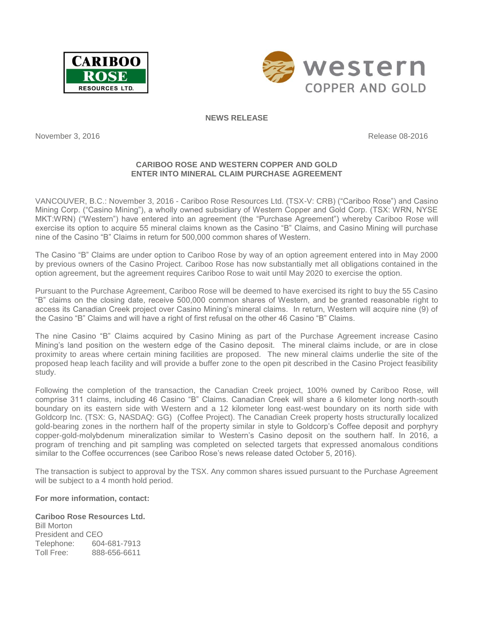



## **NEWS RELEASE**

November 3, 2016 **Release 08-2016** Release 08-2016

# **CARIBOO ROSE AND WESTERN COPPER AND GOLD ENTER INTO MINERAL CLAIM PURCHASE AGREEMENT**

VANCOUVER, B.C.: November 3, 2016 - Cariboo Rose Resources Ltd. (TSX-V: [CRB\)](http://finance.yahoo.com/q?s=crb.v&d=t) ("Cariboo Rose") and Casino Mining Corp. ("Casino Mining"), a wholly owned subsidiary of Western Copper and Gold Corp. (TSX: WRN, NYSE MKT:WRN) ("Western") have entered into an agreement (the "Purchase Agreement") whereby Cariboo Rose will exercise its option to acquire 55 mineral claims known as the Casino "B" Claims, and Casino Mining will purchase nine of the Casino "B" Claims in return for 500,000 common shares of Western.

The Casino "B" Claims are under option to Cariboo Rose by way of an option agreement entered into in May 2000 by previous owners of the Casino Project. Cariboo Rose has now substantially met all obligations contained in the option agreement, but the agreement requires Cariboo Rose to wait until May 2020 to exercise the option.

Pursuant to the Purchase Agreement, Cariboo Rose will be deemed to have exercised its right to buy the 55 Casino "B" claims on the closing date, receive 500,000 common shares of Western, and be granted reasonable right to access its Canadian Creek project over Casino Mining's mineral claims. In return, Western will acquire nine (9) of the Casino "B" Claims and will have a right of first refusal on the other 46 Casino "B" Claims.

The nine Casino "B" Claims acquired by Casino Mining as part of the Purchase Agreement increase Casino Mining's land position on the western edge of the Casino deposit. The mineral claims include, or are in close proximity to areas where certain mining facilities are proposed. The new mineral claims underlie the site of the proposed heap leach facility and will provide a buffer zone to the open pit described in the Casino Project feasibility study.

Following the completion of the transaction, the Canadian Creek project, 100% owned by Cariboo Rose, will comprise 311 claims, including 46 Casino "B" Claims. Canadian Creek will share a 6 kilometer long north-south boundary on its eastern side with Western and a 12 kilometer long east-west boundary on its north side with Goldcorp Inc. (TSX: [G,](http://finance.yahoo.com/q?s=g.to&ql=1) NASDAQ: [GG\)](http://finance.yahoo.com/q?s=gg&ql=1) (Coffee Project). The Canadian Creek property hosts structurally localized gold-bearing zones in the northern half of the property similar in style to Goldcorp's Coffee deposit and porphyry copper-gold-molybdenum mineralization similar to Western's Casino deposit on the southern half. In 2016, a program of trenching and pit sampling was completed on selected targets that expressed anomalous conditions similar to the Coffee occurrences (see Cariboo Rose's news release dated October 5, 2016).

The transaction is subject to approval by the TSX. Any common shares issued pursuant to the Purchase Agreement will be subject to a 4 month hold period.

**For more information, contact:** 

**Cariboo Rose Resources Ltd.** Bill Morton President and CEO Telephone: 604-681-7913<br>Toll Free: 888-656-6611 Toll Free: 888-656-6611